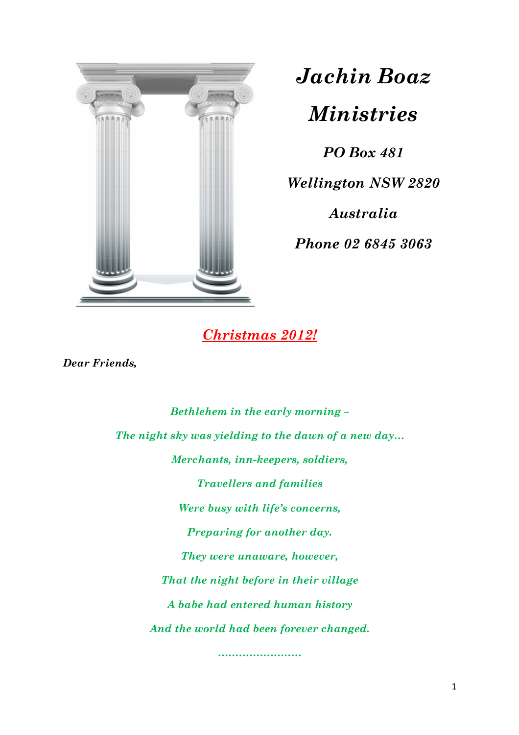

# *Jachin Boaz*

*Ministries*

*PO Box 481 Wellington NSW 2820* 

*Australia* 

*Phone 02 6845 3063* 

## *Christmas 2012!*

*Dear Friends,* 

*Bethlehem in the early morning – The night sky was yielding to the dawn of a new day… Merchants, inn-keepers, soldiers, Travellers and families Were busy with life's concerns, Preparing for another day. They were unaware, however, That the night before in their village A babe had entered human history And the world had been forever changed.* 

*……………………*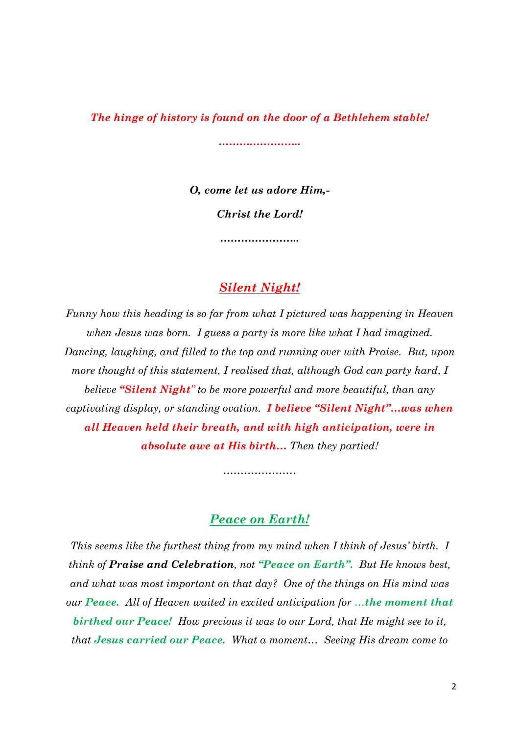*The hinge of history is found on the door of a Bethlehem stable!* 

*……….…………..* 

*O, come let us adore Him,- Christ the Lord!* 

*…………………..* 

### *Silent Night!*

*Funny how this heading is so far from what I pictured was happening in Heaven when Jesus was born. I guess a party is more like what I had imagined. Dancing, laughing, and filled to the top and running over with Praise. But, upon more thought of this statement, I realised that, although God can party hard, I believe "Silent Night" to be more powerful and more beautiful, than any captivating display, or standing ovation. I believe "Silent Night"…was when all Heaven held their breath, and with high anticipation, were in absolute awe at His birth… Then they partied!* 

#### *Peace on Earth!*

*…………………* 

*This seems like the furthest thing from my mind when I think of Jesus' birth. I think of Praise and Celebration, not "Peace on Earth". But He knows best, and what was most important on that day? One of the things on His mind was our Peace. All of Heaven waited in excited anticipation for …the moment that birthed our Peace! How precious it was to our Lord, that He might see to it, that Jesus carried our Peace. What a moment… Seeing His dream come to*